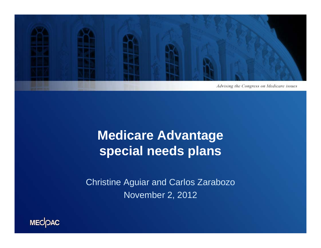

### **Medicare Advantage special needs plans**

Christine Aguiar and Carlos Zarabozo November 2, 2012

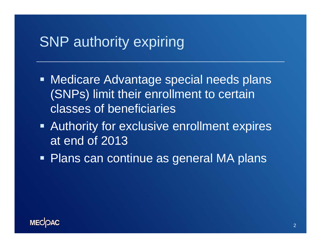### SNP authority expiring

- Medicare Advantage special needs plans (SNPs) limit their enrollment to certain classes of beneficiaries
- **EXAUTHORITY FOR EXAUTE EXAMORE EXPERIST PROPERTY** at end of 2013
- Plans can continue as general MA plans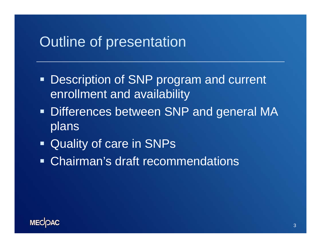### Outline of presentation

- **Description of SNP program and current** enrollment and availability
- **Differences between SNP and general MA** plans
- Quality of care in SNPs
- Chairman's draft recommendations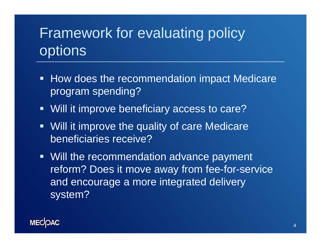## Framework for evaluating policy options

- How does the recommendation impact Medicare program spending?
- **Will it improve beneficiary access to care?**
- **Will it improve the quality of care Medicare** beneficiaries receive?
- Will the recommendation advance payment reform? Does it move away from fee-for-service and encourage a more integrated delivery system?

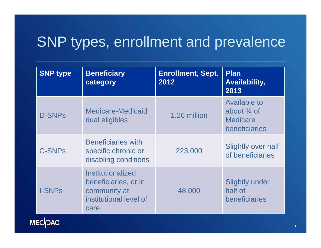### SNP types, enrollment and prevalence

| <b>SNP type</b> | <b>Beneficiary</b><br>category                                                              | <b>Enrollment, Sept.</b><br>2012 | <b>Plan</b><br><b>Availability,</b><br>2013                                       |
|-----------------|---------------------------------------------------------------------------------------------|----------------------------------|-----------------------------------------------------------------------------------|
| <b>D-SNPs</b>   | Medicare-Medicaid<br>dual eligibles                                                         | 1.26 million                     | <b>Available to</b><br>about $\frac{3}{4}$ of<br><b>Medicare</b><br>beneficiaries |
| <b>C-SNPs</b>   | <b>Beneficiaries with</b><br>specific chronic or<br>disabling conditions                    | 223,000                          | <b>Slightly over half</b><br>of beneficiaries                                     |
| <b>I-SNPs</b>   | Institutionalized<br>beneficiaries, or in<br>community at<br>institutional level of<br>care | 48,000                           | <b>Slightly under</b><br>half of<br>beneficiaries                                 |

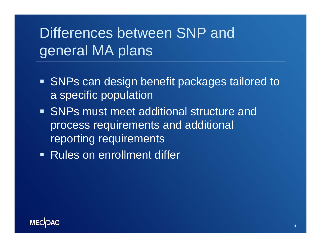# Differences between SNP and general MA plans

- **SNPs can design benefit packages tailored to** a specific population
- **SNPs must meet additional structure and** process requirements and additional reporting requirements
- Rules on enrollment differ

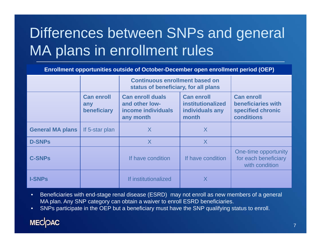# Differences between SNPs and general MA plans in enrollment rules

**Enrollment opportunities outside of October-December open enrollment period (OEP)**

|                         |                                         | <b>Continuous enrollment based on</b><br>status of beneficiary, for all plans |                                                                           |                                                                            |
|-------------------------|-----------------------------------------|-------------------------------------------------------------------------------|---------------------------------------------------------------------------|----------------------------------------------------------------------------|
|                         | <b>Can enroll</b><br>any<br>beneficiary | <b>Can enroll duals</b><br>and other low-<br>income individuals<br>any month  | <b>Can enroll</b><br><b>institutionalized</b><br>individuals any<br>month | <b>Can enroll</b><br>beneficiaries with<br>specified chronic<br>conditions |
| <b>General MA plans</b> | If 5-star plan                          | X                                                                             | X                                                                         |                                                                            |
| <b>D-SNPs</b>           |                                         | X                                                                             | X                                                                         |                                                                            |
| <b>C-SNPs</b>           |                                         | If have condition                                                             | If have condition                                                         | One-time opportunity<br>for each beneficiary<br>with condition             |
| <b>I-SNPs</b>           |                                         | If institutionalized                                                          | X                                                                         |                                                                            |

- • Beneficiaries with end-stage renal disease (ESRD) may not enroll as new members of a general MA plan. Any SNP category can obtain a waiver to enroll ESRD beneficiaries.
- •SNPs participate in the OEP but a beneficiary must have the SNP qualifying status to enroll.

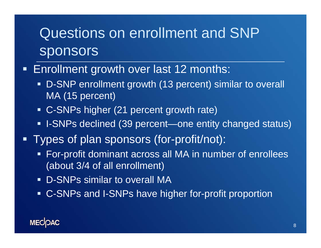### Questions on enrollment and SNP sponsors

### Ρ Enrollment growth over last 12 months:

- D-SNP enrollment growth (13 percent) similar to overall MA (15 percent)
- C-SNPs higher (21 percent growth rate)
- I-SNPs declined (39 percent—one entity changed status)
- Ξ Types of plan sponsors (for-profit/not):
	- For-profit dominant across all MA in number of enrollees (about 3/4 of all enrollment)
	- D-SNPs similar to overall MA
	- C-SNPs and I-SNPs have higher for-profit proportion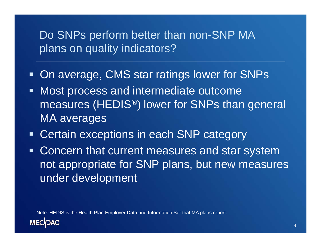### Do SNPs perform better than non-SNP MA plans on quality indicators?

- On average, CMS star ratings lower for SNPs
- **Most process and intermediate outcome** measures (HEDIS ®) lower for SNPs than general MA averages
- Certain exceptions in each SNP category
- **Concern that current measures and star system** not appropriate for SNP plans, but new measures under development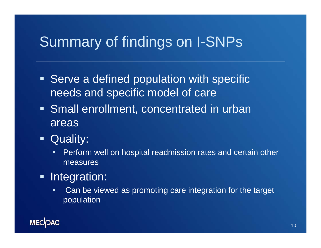### Summary of findings on I-SNPs

- **Serve a defined population with specific** needs and specific model of care
- **Small enrollment, concentrated in urban** areas
- $\blacksquare$  Quality:
	- $\blacksquare$  Perform well on hospital readmission rates and certain other measures
- $\blacksquare$  Integration:
	- $\blacksquare$  Can be viewed as promoting care integration for the target population

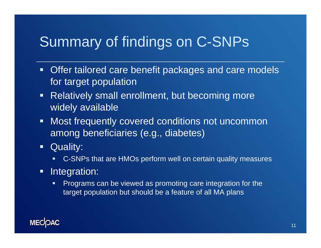### Summary of findings on C-SNPs

- **Offer tailored care benefit packages and care models** for target population
- $\blacksquare$  Relatively small enrollment, but becoming more widely available
- **Most frequently covered conditions not uncommon** among beneficiaries (e.g., diabetes)
- **Quality:** 
	- $\blacksquare$ C-SNPs that are HMOs perform well on certain quality measures
- $\blacksquare$  Integration:
	- п Programs can be viewed as promoting care integration for the target population but should be a feature of all MA plans

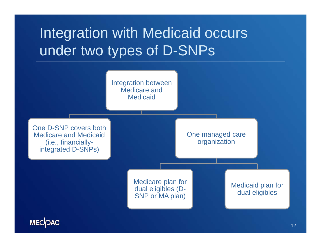# Integration with Medicaid occurs under two types of D-SNPs

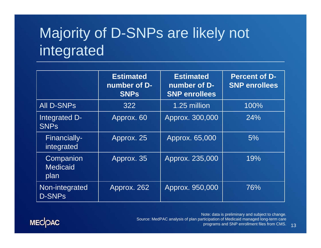# Majority of D-SNPs are likely not integrated

|                                      | <b>Estimated</b><br>number of D-<br><b>SNPs</b> | <b>Estimated</b><br>number of D-<br><b>SNP enrollees</b> | <b>Percent of D-</b><br><b>SNP enrollees</b> |
|--------------------------------------|-------------------------------------------------|----------------------------------------------------------|----------------------------------------------|
| <b>All D-SNPs</b>                    | 322                                             | 1.25 million                                             | 100%                                         |
| Integrated D-<br><b>SNPs</b>         | Approx. 60                                      | Approx. 300,000                                          | 24%                                          |
| Financially-<br>integrated           | Approx. 25                                      | Approx. 65,000                                           | 5%                                           |
| Companion<br><b>Medicaid</b><br>plan | Approx. 35                                      | Approx. 235,000                                          | 19%                                          |
| Non-integrated<br><b>D-SNPs</b>      | Approx. 262                                     | Approx. 950,000                                          | 76%                                          |



Note: data is preliminary and subject to change. Source: MedPAC analysis of plan participation of Medicaid managed long-term care programs and SNP enrollment files from CMS.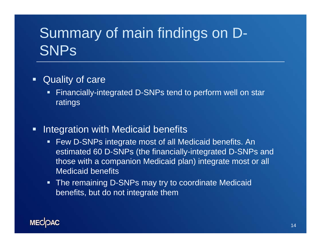# Summary of main findings on D-**SNPs**

- $\blacksquare$  Quality of care
	- Г Financially-integrated D-SNPs tend to perform well on star ratings
- $\blacksquare$  Integration with Medicaid benefits
	- $\blacksquare$  Few D-SNPs integrate most of all Medicaid benefits. An estimated 60 D-SNPs (the financially-integrated D-SNPs and those with a companion Medicaid plan) integrate most or all Medicaid benefits
	- **The remaining D-SNPs may try to coordinate Medicaid** benefits, but do not integrate them